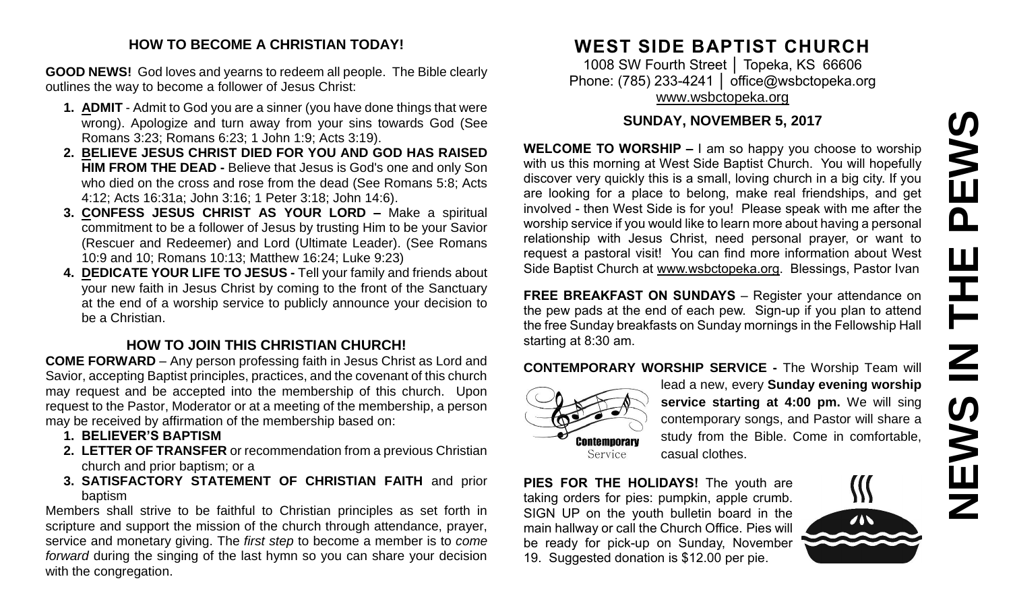#### **HOW TO BECOME A CHRISTIAN TODAY!**

**GOOD NEWS!** God loves and yearns to redeem all people. The Bible clearly outlines the way to become a follower of Jesus Christ:

- **1. ADMIT** Admit to God you are a sinner (you have done things that were wrong). Apologize and turn away from your sins towards God (See Romans 3:23; Romans 6:23; 1 John 1:9; Acts 3:19).
- **2. BELIEVE JESUS CHRIST DIED FOR YOU AND GOD HAS RAISED HIM FROM THE DEAD -** Believe that Jesus is God's one and only Son who died on the cross and rose from the dead (See Romans 5:8; Acts 4:12; Acts 16:31a; John 3:16; 1 Peter 3:18; John 14:6).
- **3. CONFESS JESUS CHRIST AS YOUR LORD –** Make a spiritual commitment to be a follower of Jesus by trusting Him to be your Savior (Rescuer and Redeemer) and Lord (Ultimate Leader). (See Romans 10:9 and 10; Romans 10:13; Matthew 16:24; Luke 9:23)
- **4. DEDICATE YOUR LIFE TO JESUS -** Tell your family and friends about your new faith in Jesus Christ by coming to the front of the Sanctuary at the end of a worship service to publicly announce your decision to be a Christian.

### **HOW TO JOIN THIS CHRISTIAN CHURCH!**

**COME FORWARD** – Any person professing faith in Jesus Christ as Lord and Savior, accepting Baptist principles, practices, and the covenant of this church may request and be accepted into the membership of this church. Upon request to the Pastor, Moderator or at a meeting of the membership, a person may be received by affirmation of the membership based on:

- **1. BELIEVER'S BAPTISM**
- **2. LETTER OF TRANSFER** or recommendation from a previous Christian church and prior baptism; or a
- **3. SATISFACTORY STATEMENT OF CHRISTIAN FAITH** and prior baptism

Members shall strive to be faithful to Christian principles as set forth in scripture and support the mission of the church through attendance, prayer, service and monetary giving. The *first step* to become a member is to *come forward* during the singing of the last hymn so you can share your decision with the congregation.

## **WEST SIDE BAPTIST CHURCH**

1008 SW Fourth Street │ Topeka, KS 66606 Phone: (785) 233-4241 | [office@wsbctopeka.org](mailto:office@wsbctopeka.org) [www.wsbctopeka.org](http://www.wsbctopeka.org/)

#### **SUNDAY, NOVEMBER 5, 2017**

**WELCOME TO WORSHIP –** I am so happy you choose to worship with us this morning at West Side Baptist Church. You will hopefully discover very quickly this is a small, loving church in a big city. If you are looking for a place to belong, make real friendships, and get involved - then West Side is for you! Please speak with me after the worship service if you would like to learn more about having a personal relationship with Jesus Christ, need personal prayer, or want to request a pastoral visit! You can find more information about West Side Baptist Church at [www.wsbctopeka.org.](http://www.wsbctopeka.org/) Blessings, Pastor Ivan SUNDAY, NOVEMBER 5, 2017<br>
WELCOME TO WORSHIP – I am so happy you choose to worship<br>
with us this morning at West Side Baptist Church. You will hopefully<br>
discover very quickly this is a small, loving church in a big city.

**FREE BREAKFAST ON SUNDAYS** – Register your attendance on the pew pads at the end of each pew. Sign-up if you plan to attend the free Sunday breakfasts on Sunday mornings in the Fellowship Hall starting at 8:30 am.

#### **CONTEMPORARY WORSHIP SERVICE -** The Worship Team will



lead a new, every **Sunday evening worship service starting at 4:00 pm.** We will sing contemporary songs, and Pastor will share a study from the Bible. Come in comfortable, casual clothes.

**PIES FOR THE HOLIDAYS!** The youth are taking orders for pies: pumpkin, apple crumb. SIGN UP on the youth bulletin board in the main hallway or call the Church Office. Pies will be ready for pick-up on Sunday, November

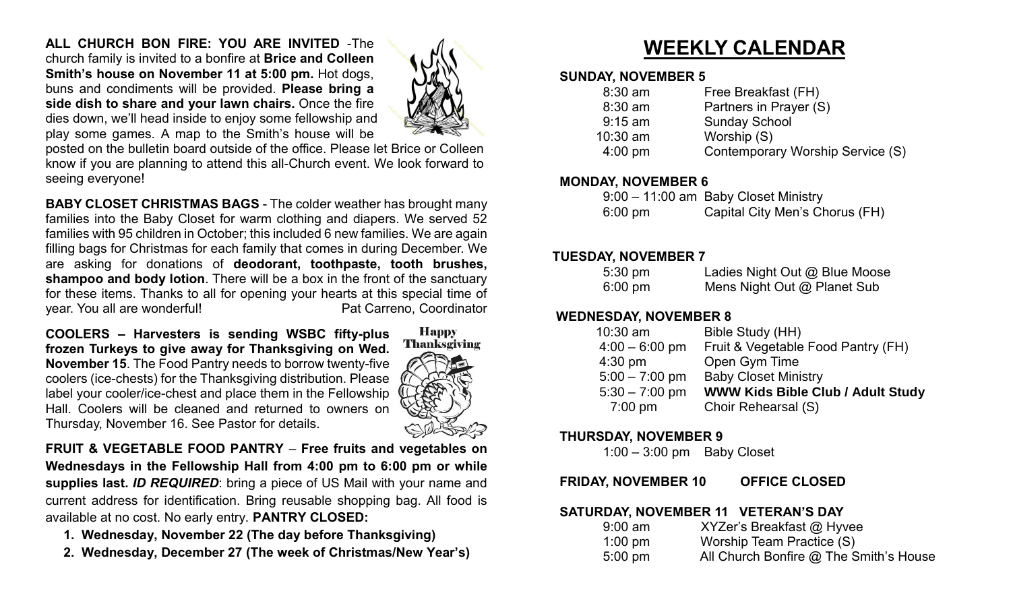**ALL CHURCH BON FIRE: YOU ARE INVITED** -The church family is invited to a bonfire at **Brice and Colleen Smith's house on November 11 at 5:00 pm.** Hot dogs, buns and condiments will be provided. **Please bring a side dish to share and your lawn chairs.** Once the fire dies down, we'll head inside to enjoy some fellowship and play some games. A map to the Smith's house will be



posted on the bulletin board outside of the office. Please let Brice or Colleen know if you are planning to attend this all-Church event. We look forward to seeing everyone!

**BABY CLOSET CHRISTMAS BAGS** - The colder weather has brought many families into the Baby Closet for warm clothing and diapers. We served 52 families with 95 children in October; this included 6 new families. We are again filling bags for Christmas for each family that comes in during December. We are asking for donations of **deodorant, toothpaste, tooth brushes, shampoo and body lotion**. There will be a box in the front of the sanctuary for these items. Thanks to all for opening your hearts at this special time of year. You all are wonderful! example and the Pat Carreno, Coordinator

**COOLERS – Harvesters is sending WSBC fifty-plus frozen Turkeys to give away for Thanksgiving on Wed. November 15**. The Food Pantry needs to borrow twenty-five coolers (ice-chests) for the Thanksgiving distribution. Please label your cooler/ice-chest and place them in the Fellowship Hall. Coolers will be cleaned and returned to owners on Thursday, November 16. See Pastor for details.



**FRUIT & VEGETABLE FOOD PANTRY** – **Free fruits and vegetables on Wednesdays in the Fellowship Hall from 4:00 pm to 6:00 pm or while supplies last.** *ID REQUIRED*: bring a piece of US Mail with your name and current address for identification. Bring reusable shopping bag. All food is available at no cost. No early entry. **PANTRY CLOSED:**

- **1. Wednesday, November 22 (The day before Thanksgiving)**
- **2. Wednesday, December 27 (The week of Christmas/New Year's)**

# **WEEKLY CALENDAR**

#### **SUNDAY, NOVEMBER 5**

| $8:30$ am         | Free Breakfast (FH)              |
|-------------------|----------------------------------|
| $8:30$ am         | Partners in Prayer (S)           |
| $9:15$ am         | <b>Sunday School</b>             |
| $10:30$ am        | Worship (S)                      |
| $4:00 \text{ pm}$ | Contemporary Worship Service (S) |
|                   |                                  |

#### **MONDAY, NOVEMBER 6**

|                   | 9:00 - 11:00 am Baby Closet Ministry |
|-------------------|--------------------------------------|
| $6:00 \text{ pm}$ | Capital City Men's Chorus (FH)       |

#### **TUESDAY, NOVEMBER 7**

| $5:30 \text{ pm}$ | Ladies Night Out @ Blue Moose |
|-------------------|-------------------------------|
| $6:00 \text{ pm}$ | Mens Night Out @ Planet Sub   |

#### **WEDNESDAY, NOVEMBER 8**

| Bible Study (HH)                   |
|------------------------------------|
| Fruit & Vegetable Food Pantry (FH) |
| Open Gym Time                      |
| <b>Baby Closet Ministry</b>        |
| WWW Kids Bible Club / Adult Study  |
| Choir Rehearsal (S)                |
|                                    |

#### **THURSDAY, NOVEMBER 9**

1:00 – 3:00 pm Baby Closet

#### **FRIDAY, NOVEMBER 10 OFFICE CLOSED**

#### **SATURDAY, NOVEMBER 11 VETERAN'S DAY**

| $9:00$ am         | XYZer's Breakfast @ Hyvee              |
|-------------------|----------------------------------------|
| $1:00$ pm         | Worship Team Practice (S)              |
| $5:00 \text{ pm}$ | All Church Bonfire @ The Smith's House |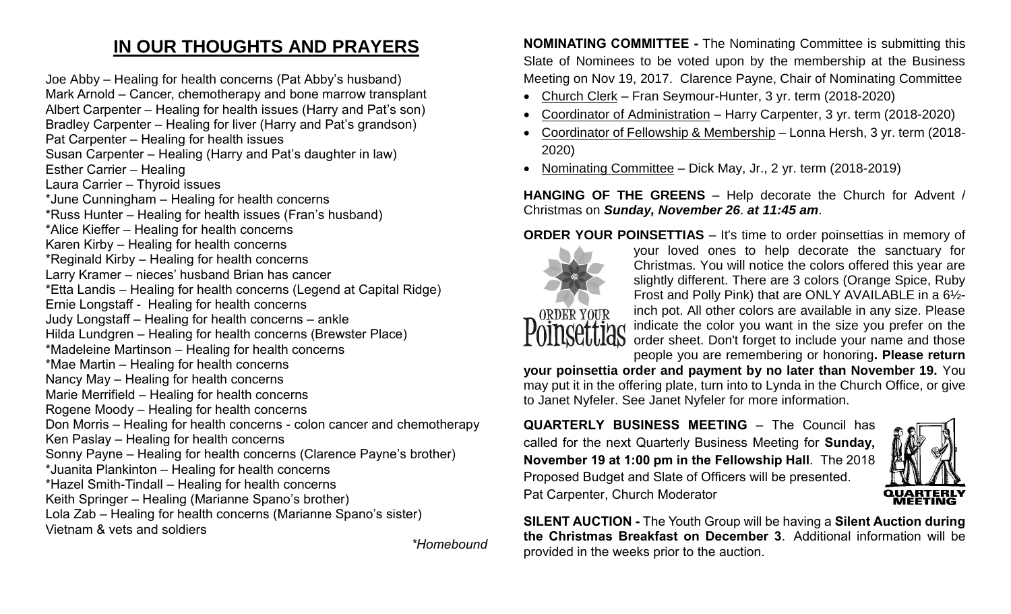### **IN OUR THOUGHTS AND PRAYERS**

Joe Abby – Healing for health concerns (Pat Abby's husband) Mark Arnold – Cancer, chemotherapy and bone marrow transplant Albert Carpenter – Healing for health issues (Harry and Pat's son) Bradley Carpenter – Healing for liver (Harry and Pat's grandson) Pat Carpenter – Healing for health issues Susan Carpenter – Healing (Harry and Pat's daughter in law) Esther Carrier – Healing Laura Carrier – Thyroid issues \*June Cunningham – Healing for health concerns \*Russ Hunter – Healing for health issues (Fran's husband) \*Alice Kieffer – Healing for health concerns Karen Kirby – Healing for health concerns \*Reginald Kirby – Healing for health concerns Larry Kramer – nieces' husband Brian has cancer \*Etta Landis – Healing for health concerns (Legend at Capital Ridge) Ernie Longstaff - Healing for health concerns Judy Longstaff – Healing for health concerns – ankle Hilda Lundgren – Healing for health concerns (Brewster Place) \*Madeleine Martinson – Healing for health concerns \*Mae Martin – Healing for health concerns Nancy May – Healing for health concerns Marie Merrifield – Healing for health concerns Rogene Moody – Healing for health concerns Don Morris – Healing for health concerns - colon cancer and chemotherapy Ken Paslay – Healing for health concerns Sonny Payne – Healing for health concerns (Clarence Payne's brother) \*Juanita Plankinton – Healing for health concerns \*Hazel Smith-Tindall – Healing for health concerns Keith Springer – Healing (Marianne Spano's brother) Lola Zab – Healing for health concerns (Marianne Spano's sister) Vietnam & vets and soldiers

*\*Homebound*

**NOMINATING COMMITTEE -** The Nominating Committee is submitting this Slate of Nominees to be voted upon by the membership at the Business Meeting on Nov 19, 2017. Clarence Payne, Chair of Nominating Committee

- Church Clerk Fran Seymour-Hunter, 3 yr. term (2018-2020)
- Coordinator of Administration Harry Carpenter, 3 yr. term (2018-2020)
- Coordinator of Fellowship & Membership Lonna Hersh, 3 yr. term (2018- 2020)
- Nominating Committee Dick May, Jr., 2 yr. term (2018-2019)

**HANGING OF THE GREENS** – Help decorate the Church for Advent / Christmas on *Sunday, November 26*. *at 11:45 am*.

**ORDER YOUR POINSETTIAS** – It's time to order poinsettias in memory of



your loved ones to help decorate the sanctuary for Christmas. You will notice the colors offered this year are slightly different. There are 3 colors (Orange Spice, Ruby Frost and Polly Pink) that are ONLY AVAILABLE in a 6½ inch pot. All other colors are available in any size. Please indicate the color you want in the size you prefer on the order sheet. Don't forget to include your name and those

people you are remembering or honoring**. Please return** 

**your poinsettia order and payment by no later than November 19.** You may put it in the offering plate, turn into to Lynda in the Church Office, or give to Janet Nyfeler. See Janet Nyfeler for more information.

**QUARTERLY BUSINESS MEETING** – The Council has called for the next Quarterly Business Meeting for **Sunday, November 19 at 1:00 pm in the Fellowship Hall**. The 2018 Proposed Budget and Slate of Officers will be presented. Pat Carpenter, Church Moderator



**SILENT AUCTION -** The Youth Group will be having a **Silent Auction during the Christmas Breakfast on December 3**. Additional information will be provided in the weeks prior to the auction.